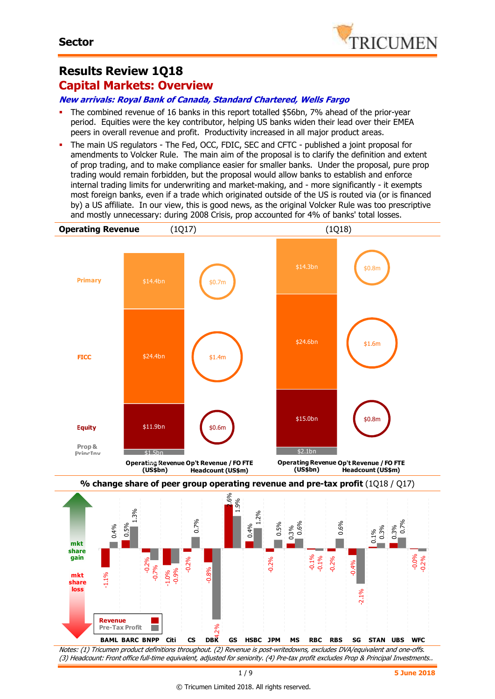

# **Results Review 1Q18**

**Capital Markets: Overview**

### **New arrivals: Royal Bank of Canada, Standard Chartered, Wells Fargo**

- The combined revenue of 16 banks in this report totalled \$56bn, 7% ahead of the prior-year period. Equities were the key contributor, helping US banks widen their lead over their EMEA peers in overall revenue and profit. Productivity increased in all major product areas.
- The main US regulators The Fed, OCC, FDIC, SEC and CFTC published a joint proposal for amendments to Volcker Rule. The main aim of the proposal is to clarify the definition and extent of prop trading, and to make compliance easier for smaller banks. Under the proposal, pure prop trading would remain forbidden, but the proposal would allow banks to establish and enforce internal trading limits for underwriting and market-making, and - more significantly - it exempts most foreign banks, even if a trade which originated outside of the US is routed via (or is financed by) a US affiliate. In our view, this is good news, as the original Volcker Rule was too prescriptive and mostly unnecessary: during 2008 Crisis, prop accounted for 4% of banks' total losses.

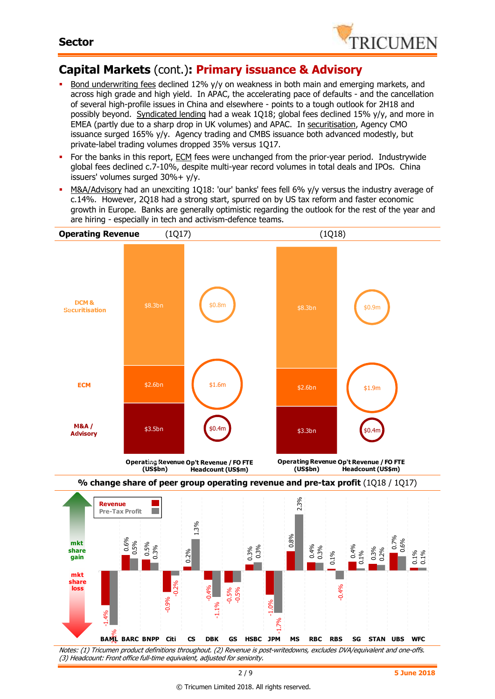

# **Capital Markets** (cont.)**: Primary issuance & Advisory**

- Bond underwriting fees declined 12% y/y on weakness in both main and emerging markets, and across high grade and high yield. In APAC, the accelerating pace of defaults - and the cancellation of several high-profile issues in China and elsewhere - points to a tough outlook for 2H18 and possibly beyond. Syndicated lending had a weak 1Q18; global fees declined 15% y/y, and more in EMEA (partly due to a sharp drop in UK volumes) and APAC. In securitisation, Agency CMO issuance surged 165% y/y. Agency trading and CMBS issuance both advanced modestly, but private-label trading volumes dropped 35% versus 1Q17.
- For the banks in this report, ECM fees were unchanged from the prior-year period. Industrywide global fees declined c.7-10%, despite multi-year record volumes in total deals and IPOs. China issuers' volumes surged 30%+ y/y.
- M&A/Advisory had an unexciting 1Q18: 'our' banks' fees fell 6% y/y versus the industry average of c.14%. However, 2Q18 had a strong start, spurred on by US tax reform and faster economic growth in Europe. Banks are generally optimistic regarding the outlook for the rest of the year and are hiring - especially in tech and activism-defence teams.



© Tricumen Limited 2018. All rights reserved.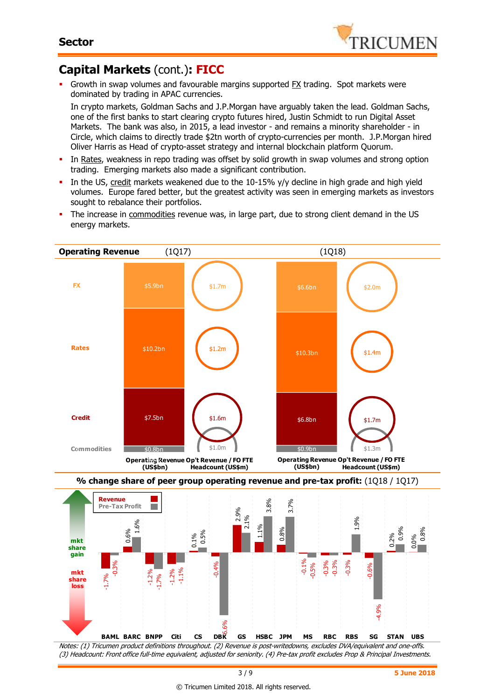

# **Capital Markets** (cont.)**: FICC**

 Growth in swap volumes and favourable margins supported FX trading. Spot markets were dominated by trading in APAC currencies.

In crypto markets, Goldman Sachs and J.P.Morgan have arguably taken the lead. Goldman Sachs, one of the first banks to start clearing crypto futures hired, Justin Schmidt to run Digital Asset Markets. The bank was also, in 2015, a lead investor - and remains a minority shareholder - in Circle, which claims to directly trade \$2tn worth of crypto-currencies per month. J.P.Morgan hired Oliver Harris as Head of crypto-asset strategy and internal blockchain platform Quorum.

- In Rates, weakness in repo trading was offset by solid growth in swap volumes and strong option trading. Emerging markets also made a significant contribution.
- In the US, credit markets weakened due to the 10-15% y/y decline in high grade and high yield volumes. Europe fared better, but the greatest activity was seen in emerging markets as investors sought to rebalance their portfolios.
- The increase in commodities revenue was, in large part, due to strong client demand in the US energy markets.



Notes: (1) Tricumen product definitions throughout. (2) Revenue is post-writedowns, excludes DVA/equivalent and one-offs. (3) Headcount: Front office full-time equivalent, adjusted for seniority. (4) Pre-tax profit excludes Prop & Principal Investments.

**BAML BARC BNPP Citi CS DBK GS HSBC JPM MS RBC RBS SG STAN UBS**

 $DRK$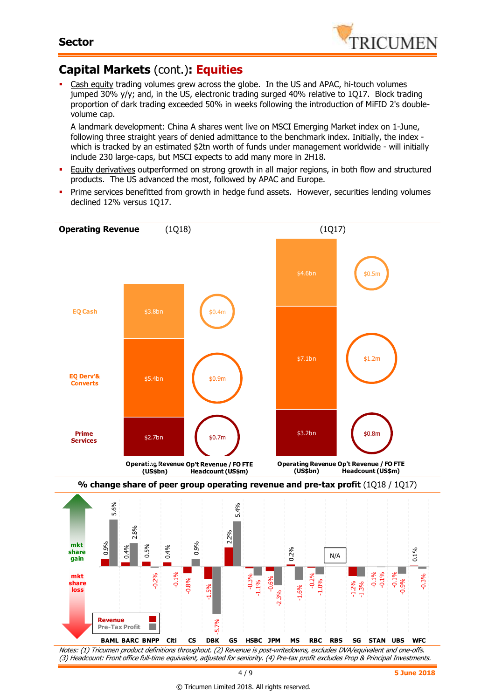

### **Capital Markets** (cont.)**: Equities**

 Cash equity trading volumes grew across the globe. In the US and APAC, hi-touch volumes jumped 30% y/y; and, in the US, electronic trading surged 40% relative to 1Q17. Block trading proportion of dark trading exceeded 50% in weeks following the introduction of MiFID 2's doublevolume cap.

A landmark development: China A shares went live on MSCI Emerging Market index on 1-June, following three straight years of denied admittance to the benchmark index. Initially, the index which is tracked by an estimated \$2tn worth of funds under management worldwide - will initially include 230 large-caps, but MSCI expects to add many more in 2H18.

- **E** Equity derivatives outperformed on strong growth in all major regions, in both flow and structured products. The US advanced the most, followed by APAC and Europe.
- Prime services benefitted from growth in hedge fund assets. However, securities lending volumes declined 12% versus 1Q17.



© Tricumen Limited 2018. All rights reserved.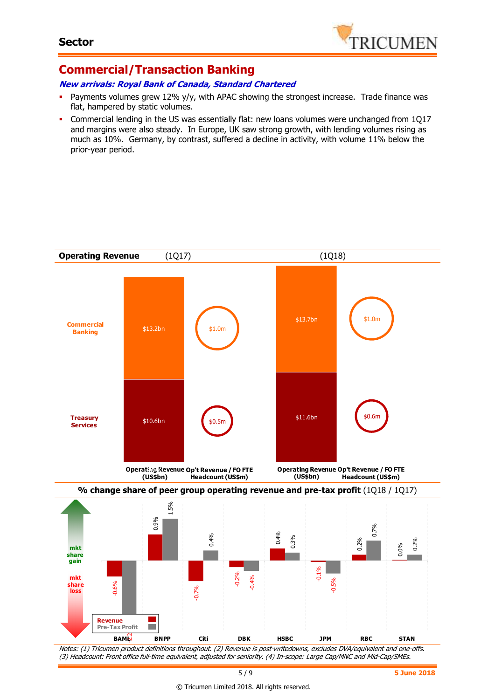

# **Commercial/Transaction Banking**

### **New arrivals: Royal Bank of Canada, Standard Chartered**

- **Payments volumes grew 12% y/y, with APAC showing the strongest increase. Trade finance was** flat, hampered by static volumes.
- Commercial lending in the US was essentially flat: new loans volumes were unchanged from 1Q17 and margins were also steady. In Europe, UK saw strong growth, with lending volumes rising as much as 10%. Germany, by contrast, suffered a decline in activity, with volume 11% below the prior-year period.

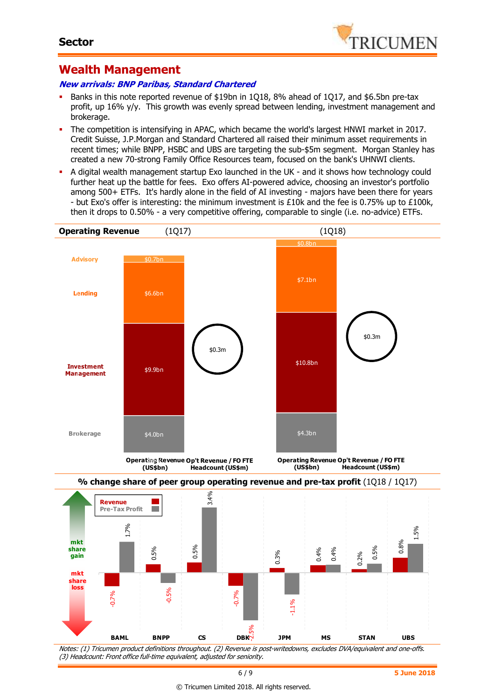

### **Wealth Management**

-0.7%

-0.03

-0.02

**loss**

-0.5%

### **New arrivals: BNP Paribas, Standard Chartered**

- Banks in this note reported revenue of \$19bn in 1Q18, 8% ahead of 1Q17, and \$6.5bn pre-tax profit, up 16% y/y. This growth was evenly spread between lending, investment management and brokerage.
- The competition is intensifying in APAC, which became the world's largest HNWI market in 2017. Credit Suisse, J.P.Morgan and Standard Chartered all raised their minimum asset requirements in recent times; while BNPP, HSBC and UBS are targeting the sub-\$5m segment. Morgan Stanley has created a new 70-strong Family Office Resources team, focused on the bank's UHNWI clients.
- A digital wealth management startup Exo launched in the UK and it shows how technology could further heat up the battle for fees. Exo offers AI-powered advice, choosing an investor's portfolio among 500+ ETFs. It's hardly alone in the field of AI investing - majors have been there for years - but Exo's offer is interesting: the minimum investment is £10k and the fee is 0.75% up to £100k, then it drops to 0.50% - a very competitive offering, comparable to single (i.e. no-advice) ETFs.



Notes: (1) Tricumen product definitions throughout. (2) Revenue is post-writedowns, excludes DVA/equivalent and one-offs. (3) Headcount: Front office full-time equivalent, adjusted for seniority.  $DBK<sub>2</sub>$ **BAML BNPP CS DBK JPM MS STAN UBS**

-0.7%

-1.1%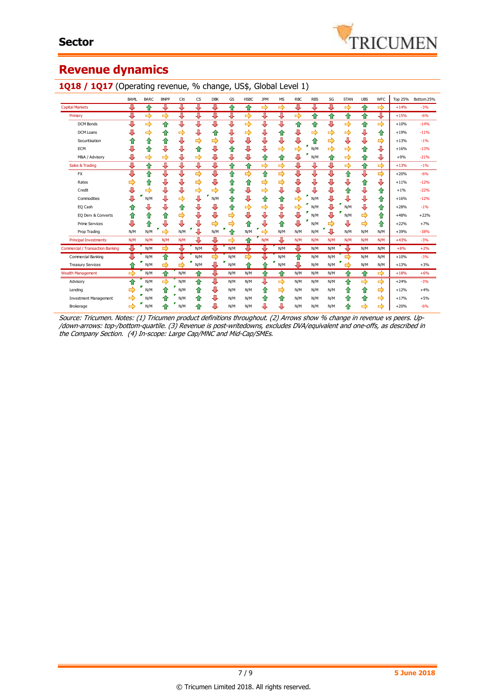

# **Revenue dynamics**

|                                         |             |               |             |               |               |                         |     | . .         |               |               |               |               |     |             |            |            |                |            |
|-----------------------------------------|-------------|---------------|-------------|---------------|---------------|-------------------------|-----|-------------|---------------|---------------|---------------|---------------|-----|-------------|------------|------------|----------------|------------|
|                                         | <b>BAML</b> | <b>BARC</b>   | <b>BNPP</b> | Citi          | <b>CS</b>     | <b>DBK</b>              | GS  | <b>HSBC</b> | <b>JPM</b>    | <b>MS</b>     | <b>RBC</b>    | <b>RBS</b>    | SG  | <b>STAN</b> | <b>UBS</b> | <b>WFC</b> | <b>Top 25%</b> | Bottom 25% |
| <b>Capital Markets</b>                  | ⇩           | ⇧             | ⊕           | ⊕             | ⊕             | ⊕                       | 企   | ⇧           | $\Rightarrow$ | ⇨             | ⊕             | ⊕             | ⊕   | ⇨           | 合          | ⇨          | $+14%$         | $-3%$      |
| Primary                                 | ⇩           | $\Rightarrow$ | ⇨           | ⊕             | ⊕             | ⊕                       | ⊕   | ⇨           | ⊕             | ⊕             | $\Rightarrow$ | 合             | ✿   | ⇧           | 合          | ⊕          | $+15%$         | $-6%$      |
| <b>DCM Bonds</b>                        | J,          | ⇨             |             | ⊕             | ⇩             | ⊕                       | ⊕   | ⇨           | ⊕             | ⊕             | ⇑             | ⇑             | ⇩   | ⇨           | ⇑          | ⇨          | $+10%$         | $-14%$     |
| DCM Loans                               | Д           | ⇨             |             | ⇨             | ⇩             | ⇑                       | ⇩   | ⇨           | ⇩             | ✿             | U             | $\Rightarrow$ | ⇨   | ⇨           | ⇩          | ⇑          | $+19%$         | $-11%$     |
| Securitisation                          |             | ⇑             |             | ⇩             | ⇨             | ⇨                       | ⊕   | ⇩           | ⇩             | ⇩             | J,            | ⇑             | ⇨   | ⊕           | ⇩          | ⇨          | $+13%$         | $-1%$      |
| ECM                                     |             | ✿             | J           | ⇩             |               | ⊕                       | ⇑   |             | ⊕             | $\Rightarrow$ | ⇨             | N/M           | ⇨   | ⇨           | ⇑          | ⊕          | $+16%$         | $-13%$     |
| M&A / Advisory                          | J           | ⇨             | ⇨           | ⇩             | $\Rightarrow$ | J                       | ⇩   | ⊕           | ⇑             | 合             | U             | N/M           | ⇧   | ⇨           | 合          | J          | $+9%$          | $-21%$     |
| Sales & Trading                         | ⇩           | ⇧             | J           | ⇩             | ⊕             | ⇩                       | ⇑   | ⇧           | ⇨             | $\Rightarrow$ | J,            | ⇩             | ⇩   | ⇨           | ⇑          | ⇨          | $+13%$         | $-1%$      |
| <b>FX</b>                               | ⇩           | ⇧             | J           | ⊕             | ⇨             | ⇩                       | ⇑   | ⇨           | ⇧             | $\Rightarrow$ | U             | ⇩             | ⇩   | ⇑           | ⇩          | ⇨          | $+20%$         | $-6%$      |
| Rates                                   | ⇨           | ⇑             | J           | ⇩             | ⇨             | J                       | 合   | ⇧           | ⇨             | ⇨             | U             | ⇩             | ⇩   | ⇩           | ✿          | J          | $+11%$         | $-12%$     |
| Credit                                  |             | ⇨             | J,          | ⇩             | ⇨             | ⇨                       | ⇑   |             | ⇨             | ⇩             | U             | ⊕             | ⇩   | 1           | ⇩          | ⇑          | $+1%$          | $-22%$     |
| Commodities                             |             | N/M           | J           | $\Rightarrow$ | J             | N/M                     | ⇑   | J           | ✿             | ✿             | ⇨             | N/M           | ⇩   |             | ⇩          | 슙          | $+16%$         | $-12%$     |
| EQ Cash                                 |             | ⇩             | U           | ✿             | J             | ⊕                       | ⇑   | ⇨           | ⇨             | ⇩             |               | N/M           | U   | N/M         | ⇩          | ⇧          | $+28%$         | $-1%$      |
| EQ Derv & Converts                      | Ĥ           | ✿             | 1           | ⇨             | J             | J                       | ⇨   | ⊕           | ⇩             | ⇩             | 5             | N/M           | U   | N/M         | ⇨          | ✿          | $+48%$         | $+22%$     |
| <b>Prime Services</b>                   | ⇩           | ⇑             | J           | ⇩             | U             | ⇨                       | ⇨   | ⇧           | ⇩             | 合             | U             | Б<br>N/M      | ⇨   | ⊕           | ⇨          | ⇑          | $+22%$         | $+7%$      |
| Prop Trading                            | N/M         | N/M           | ⇨           | N/M           |               | N/M                     | ⇑   | N/M         | ⇨             | N/M           | N/M           | N/M           | J,  | N/M         | N/M        | N/M        | $+39%$         | $-38%$     |
| <b>Principal Investments</b>            | N/M         | N/M           | N/M         | N/M           | л             | Д                       | ⇨   |             | N/M           | ⇩             | N/M           | N/M           | N/M | N/M         | N/M        | N/M        | $+43%$         | $-3%$      |
| <b>Commercial / Transaction Banking</b> | ⇩           | N/M           | ⇨           | ⊕             | N/M           | Л                       | N/M | ⇩           | Д             | N/M           | ⊕             | N/M           | N/M | U           | N/M        | N/M        | $+8%$          | $+2%$      |
| Commercial Banking                      | J           | N/M           | ⇑           | ⊕             | N/M           | ⇨                       | N/M | ⇨           |               | N/M           | ⇑             | N/M           | N/M | ⇨           | N/M        | N/M        | $+10%$         | $-3%$      |
| <b>Treasury Services</b>                |             | N/M           | ⇨           | ⇨             | N/M           | ⇩                       | N/M | ⇧           |               | N/M           | J             | N/M           | N/M | ⇨           | N/M        | N/M        | $+13%$         | $+3%$      |
| <b>Wealth Management</b>                | ⇨           | N/M           | ♠           | N/M           | ⇑             | ⊕                       | N/M | N/M         | 仐             | ⇑             | N/M           | N/M           | N/M | ⇑           | ⇑          | ⇨          | $+18%$         | $+6%$      |
| Advisory                                | ⇑           | N/M           | ⇨           | N/M           | ⇑             | $\overline{\textbf{J}}$ | N/M | N/M         | ⊕             | $\Rightarrow$ | N/M           | N/M           | N/M | ⇑           | ⇨          | ⇨          | $+24%$         | $-3%$      |
| Lending                                 |             | N/M           |             | N/M           |               | ⊕                       | N/M | N/M         | ⋒             | ⇨             | N/M           | N/M           | N/M |             | 合          | ⇨          | $+12%$         | $+4%$      |
| <b>Investment Management</b>            | ⇨           | N/M           |             | N/M           |               | ⊕                       | N/M | N/M         | ⇧             | ⇑             | N/M           | N/M           | N/M |             | ⇑          | ⇨          | $+17%$         | $+5%$      |
| Brokerage                               | ⇨           | N/M           |             | N/M           |               | J                       | N/M | N/M         | J             | 具             | N/M           | N/M           | N/M |             | ⇨          | ⇨          | $+20%$         | $-6%$      |

### 1Q18 / 1Q17 (Operating revenue, % change, US\$, Global Level 1)

Source: Tricumen. Notes: (1) Tricumen product definitions throughout. (2) Arrows show % change in revenue vs peers. Up- /down-arrows: top-/bottom-quartile. (3) Revenue is post-writedowns, excludes DVA/equivalent and one-offs, as described in the Company Section. (4) In-scope: Large Cap/MNC and Mid-Cap/SMEs.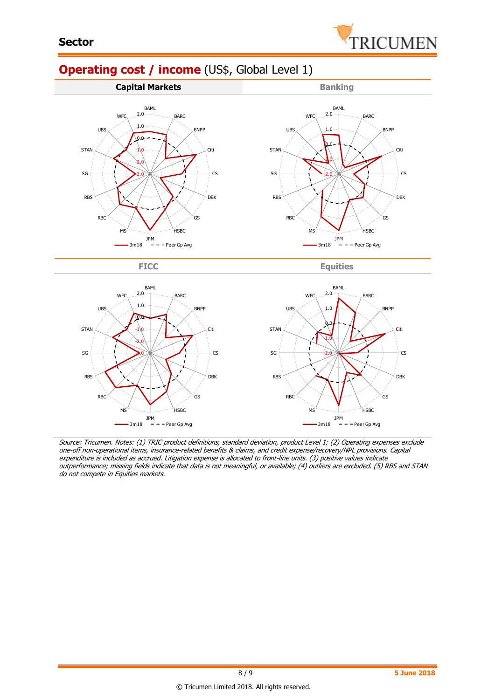

# **Operating cost / income** (US\$, Global Level 1)



FICC Equities



Source: Tricumen. Notes: (1) TRIC product definitions, standard deviation, product Level 1; (2) Operating expenses exclude one-off non-operational items, insurance-related benefits & claims, and credit expense/recovery/NPL provisions. Capital expenditure is included as accrued. Litigation expense is allocated to front-line units. (3) positive values indicate outperformance; missing fields indicate that data is not meaningful, or available; (4) outliers are excluded. (5) RBS and STAN do not compete in Equities markets.